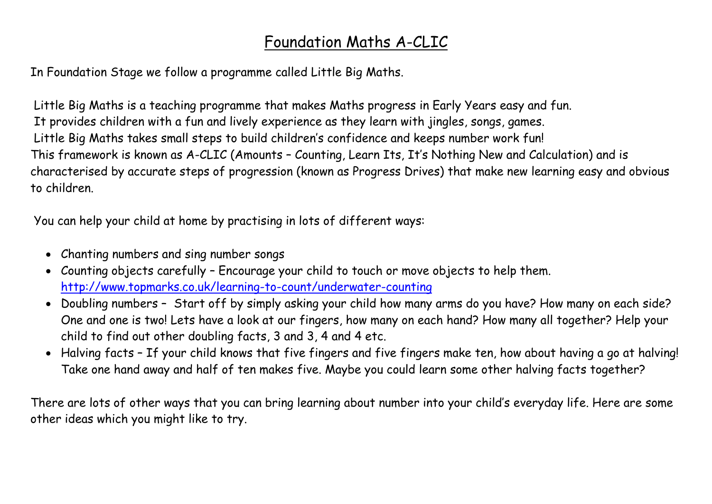## Foundation Maths A-CLIC

In Foundation Stage we follow a programme called Little Big Maths.

Little Big Maths is a teaching programme that makes Maths progress in Early Years easy and fun. It provides children with a fun and lively experience as they learn with jingles, songs, games. Little Big Maths takes small steps to build children's confidence and keeps number work fun! This framework is known as A-CLIC (Amounts – Counting, Learn Its, It's Nothing New and Calculation) and is characterised by accurate steps of progression (known as Progress Drives) that make new learning easy and obvious to children.

You can help your child at home by practising in lots of different ways:

- Chanting numbers and sing number songs
- Counting objects carefully Encourage your child to touch or move objects to help them. <http://www.topmarks.co.uk/learning-to-count/underwater-counting>
- Doubling numbers Start off by simply asking your child how many arms do you have? How many on each side? One and one is two! Lets have a look at our fingers, how many on each hand? How many all together? Help your child to find out other doubling facts, 3 and 3, 4 and 4 etc.
- Halving facts If your child knows that five fingers and five fingers make ten, how about having a go at halving! Take one hand away and half of ten makes five. Maybe you could learn some other halving facts together?

There are lots of other ways that you can bring learning about number into your child's everyday life. Here are some other ideas which you might like to try.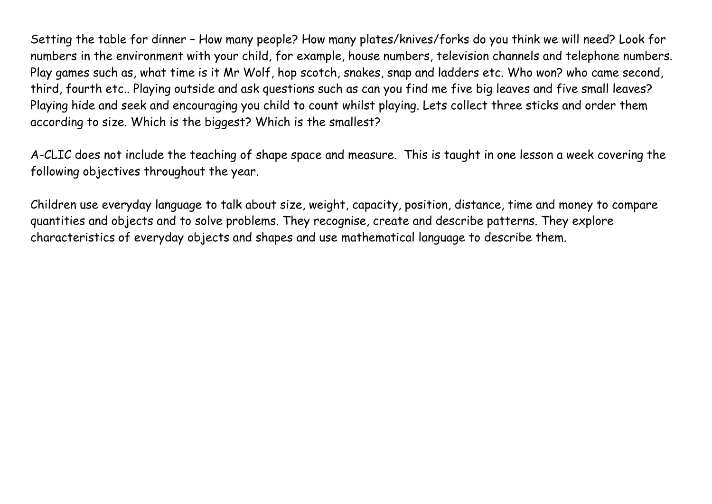Setting the table for dinner – How many people? How many plates/knives/forks do you think we will need? Look for numbers in the environment with your child, for example, house numbers, television channels and telephone numbers. Play games such as, what time is it Mr Wolf, hop scotch, snakes, snap and ladders etc. Who won? who came second, third, fourth etc.. Playing outside and ask questions such as can you find me five big leaves and five small leaves? Playing hide and seek and encouraging you child to count whilst playing. Lets collect three sticks and order them according to size. Which is the biggest? Which is the smallest?

A-CLIC does not include the teaching of shape space and measure. This is taught in one lesson a week covering the following objectives throughout the year.

Children use everyday language to talk about size, weight, capacity, position, distance, time and money to compare quantities and objects and to solve problems. They recognise, create and describe patterns. They explore characteristics of everyday objects and shapes and use mathematical language to describe them.